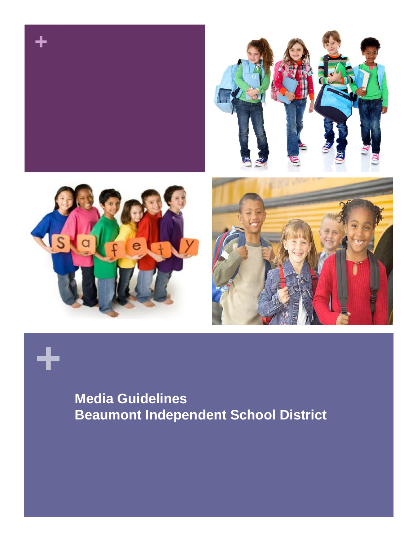

# **+**

#### **Media Guidelines Beaumont Independent School District**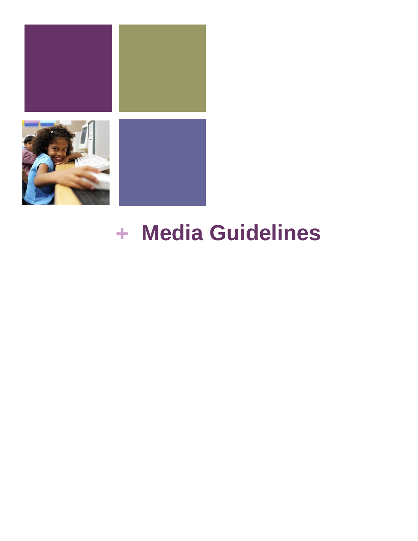

# **+ Media Guidelines**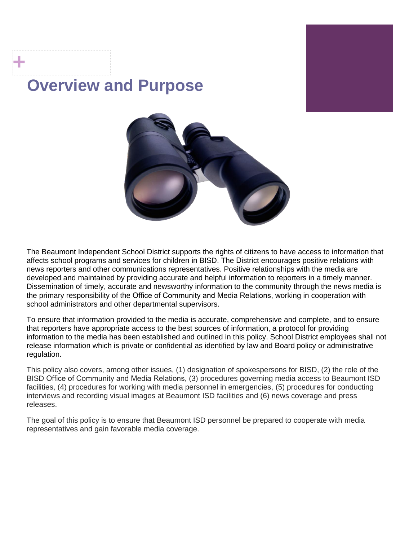#### **Overview and Purpose**

**+**



The Beaumont Independent School District supports the rights of citizens to have access to information that affects school programs and services for children in BISD. The District encourages positive relations with news reporters and other communications representatives. Positive relationships with the media are developed and maintained by providing accurate and helpful information to reporters in a timely manner. Dissemination of timely, accurate and newsworthy information to the community through the news media is the primary responsibility of the Office of Community and Media Relations, working in cooperation with school administrators and other departmental supervisors.

To ensure that information provided to the media is accurate, comprehensive and complete, and to ensure that reporters have appropriate access to the best sources of information, a protocol for providing information to the media has been established and outlined in this policy. School District employees shall not release information which is private or confidential as identified by law and Board policy or administrative regulation.

This policy also covers, among other issues, (1) designation of spokespersons for BISD, (2) the role of the BISD Office of Community and Media Relations, (3) procedures governing media access to Beaumont ISD facilities, (4) procedures for working with media personnel in emergencies, (5) procedures for conducting interviews and recording visual images at Beaumont ISD facilities and (6) news coverage and press releases.

The goal of this policy is to ensure that Beaumont ISD personnel be prepared to cooperate with media representatives and gain favorable media coverage.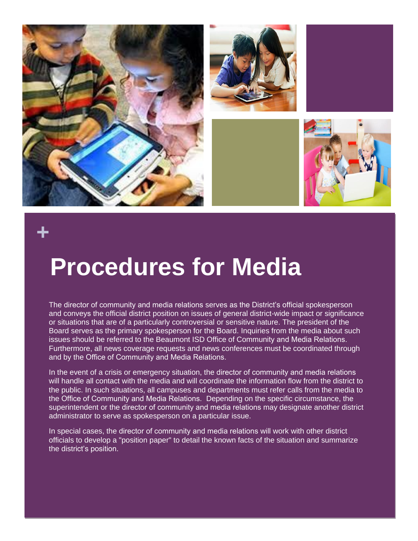

#### **+**

## **Procedures for Media**

The director of community and media relations serves as the District's official spokesperson and conveys the official district position on issues of general district-wide impact or significance or situations that are of a particularly controversial or sensitive nature. The president of the Board serves as the primary spokesperson for the Board. Inquiries from the media about such issues should be referred to the Beaumont ISD Office of Community and Media Relations. Furthermore, all news coverage requests and news conferences must be coordinated through and by the Office of Community and Media Relations.

In the event of a crisis or emergency situation, the director of community and media relations will handle all contact with the media and will coordinate the information flow from the district to the public. In such situations, all campuses and departments must refer calls from the media to the Office of Community and Media Relations. Depending on the specific circumstance, the superintendent or the director of community and media relations may designate another district administrator to serve as spokesperson on a particular issue.

In special cases, the director of community and media relations will work with other district officials to develop a "position paper" to detail the known facts of the situation and summarize the district's position.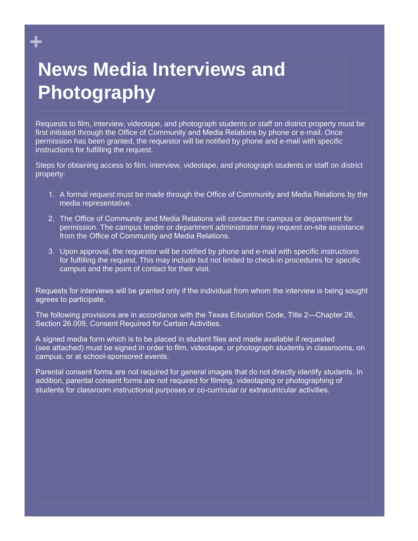#### **News Media Interviews and Photography**

**+**

Requests to film, interview, videotape, and photograph students or staff on district property must be first initiated through the Office of Community and Media Relations by phone or e-mail. Once permission has been granted, the requestor will be notified by phone and e-mail with specific instructions for fulfilling the request.

Steps for obtaining access to film, interview, videotape, and photograph students or staff on district property:

- 1. A formal request must be made through the Office of Community and Media Relations by the media representative.
- 2. The Office of Community and Media Relations will contact the campus or department for permission. The campus leader or department administrator may request on-site assistance from the Office of Community and Media Relations.
- 3. Upon approval, the requestor will be notified by phone and e-mail with specific instructions for fulfilling the request. This may include but not limited to check-in procedures for specific campus and the point of contact for their visit.

Requests for interviews will be granted only if the individual from whom the interview is being sought agrees to participate.

The following provisions are in accordance with the Texas Education Code, Title 2—Chapter 26, Section 26.009, Consent Required for Certain Activities.

A signed media form which is to be placed in student files and made available if requested (see attached) must be signed in order to film, videotape, or photograph students in classrooms, on campus, or at school-sponsored events.

Parental consent forms are not required for general images that do not directly identify students. In addition, parental consent forms are not required for filming, videotaping or photographing of students for classroom instructional purposes or co-curricular or extracurricular activities.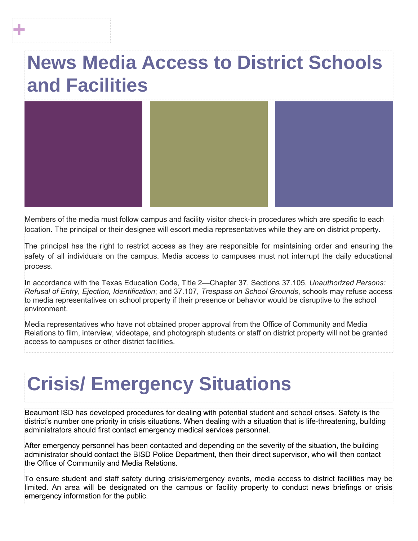#### **News Media Access to District Schools and Facilities**

**+**



Members of the media must follow campus and facility visitor check-in procedures which are specific to each location. The principal or their designee will escort media representatives while they are on district property.

The principal has the right to restrict access as they are responsible for maintaining order and ensuring the safety of all individuals on the campus. Media access to campuses must not interrupt the daily educational process.

In accordance with the Texas Education Code, Title 2—Chapter 37, Sections 37.105, *Unauthorized Persons: Refusal of Entry, Ejection, Identification*; and 37.107, *Trespass on School Grounds*, schools may refuse access to media representatives on school property if their presence or behavior would be disruptive to the school environment.

Media representatives who have not obtained proper approval from the Office of Community and Media Relations to film, interview, videotape, and photograph students or staff on district property will not be granted access to campuses or other district facilities.

### **Crisis/ Emergency Situations**

Beaumont ISD has developed procedures for dealing with potential student and school crises. Safety is the district's number one priority in crisis situations. When dealing with a situation that is life-threatening, building administrators should first contact emergency medical services personnel.

After emergency personnel has been contacted and depending on the severity of the situation, the building administrator should contact the BISD Police Department, then their direct supervisor, who will then contact the Office of Community and Media Relations.

To ensure student and staff safety during crisis/emergency events, media access to district facilities may be limited. An area will be designated on the campus or facility property to conduct news briefings or crisis emergency information for the public.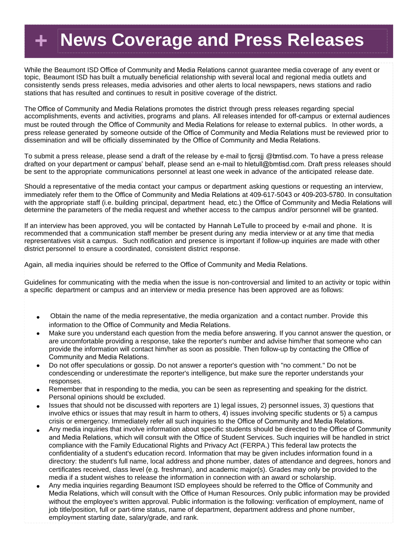#### **+ News Coverage and Press Releases**

While the Beaumont ISD Office of Community and Media Relations cannot guarantee media coverage of any event or topic, Beaumont ISD has built a mutually beneficial relationship with several local and regional media outlets and consistently sends press releases, media advisories and other alerts to local newspapers, news stations and radio stations that has resulted and continues to result in positive coverage of the district.

The Office of Community and Media Relations promotes the district through press releases regarding special accomplishments, events and activities, programs and plans. All releases intended for off-campus or external audiences must be routed through the Office of Community and Media Relations for release to external publics. In other words, a press release generated by someone outside of the Office of Community and Media Relations must be reviewed prior to dissemination and will be officially disseminated by the Office of Community and Media Relations.

To submit a press release, please send a draft of the release by e-mail to fjcrsjj @bmtisd.com. To have a press release drafted on your department or campus' behalf, please send an e-mail to hletull[@bmtisd.com.](mailto:nmyles@beaumont.k12.tx.us) Draft press releases should be sent to the appropriate communications personnel at least one week in advance of the anticipated release date.

Should a representative of the media contact your campus or department asking questions or requesting an interview, immediately refer them to the Office of Community and Media Relations at 409-617-5043 or 409-203-5780. In consultation with the appropriate staff (i.e. building principal, department head, etc.) the Office of Community and Media Relations will determine the parameters of the media request and whether access to the campus and/or personnel will be granted.

If an interview has been approved, you will be contacted by Hannah LeTulle to proceed by e-mail and phone. It is recommended that a communication staff member be present during any media interview or at any time that media representatives visit a campus. Such notification and presence is important if follow-up inquiries are made with other district personnel to ensure a coordinated, consistent district response.

Again, all media inquiries should be referred to the Office of Community and Media Relations.

Guidelines for communicating with the media when the issue is non-controversial and limited to an activity or topic within a specific department or campus and an interview or media presence has been approved are as follows:

- Obtain the name of the media representative, the media organization and a contact number. Provide this information to the Office of Community and Media Relations.
- Make sure you understand each question from the media before answering. If you cannot answer the question, or are uncomfortable providing a response, take the reporter's number and advise him/her that someone who can provide the information will contact him/her as soon as possible. Then follow-up by contacting the Office of Community and Media Relations.
- Do not offer speculations or gossip. Do not answer a reporter's question with "no comment." Do not be  $\bullet$ condescending or underestimate the reporter's intelligence, but make sure the reporter understands your responses.
- Remember that in responding to the media, you can be seen as representing and speaking for the district. Personal opinions should be excluded.
- Issues that should not be discussed with reporters are 1) legal issues, 2) personnel issues, 3) questions that involve ethics or issues that may result in harm to others, 4) issues involving specific students or 5) a campus crisis or emergency. Immediately refer all such inquiries to the Office of Community and Media Relations.
- Any media inquiries that involve information about specific students should be directed to the Office of Community  $\bullet$ and Media Relations, which will consult with the Office of Student Services. Such inquiries will be handled in strict compliance with the Family Educational Rights and Privacy Act (FERPA.) This federal law protects the confidentiality of a student's education record. Information that may be given includes information found in a directory: the student's full name, local address and phone number, dates of attendance and degrees, honors and certificates received, class level (e.g. freshman), and academic major(s). Grades may only be provided to the media if a student wishes to release the information in connection with an award or scholarship.
- Any media inquiries regarding Beaumont ISD employees should be referred to the Office of Community and  $\bullet$ Media Relations, which will consult with the Office of Human Resources. Only public information may be provided without the employee's written approval. Public information is the following: verification of employment, name of job title/position, full or part-time status, name of department, department address and phone number, employment starting date, salary/grade, and rank.